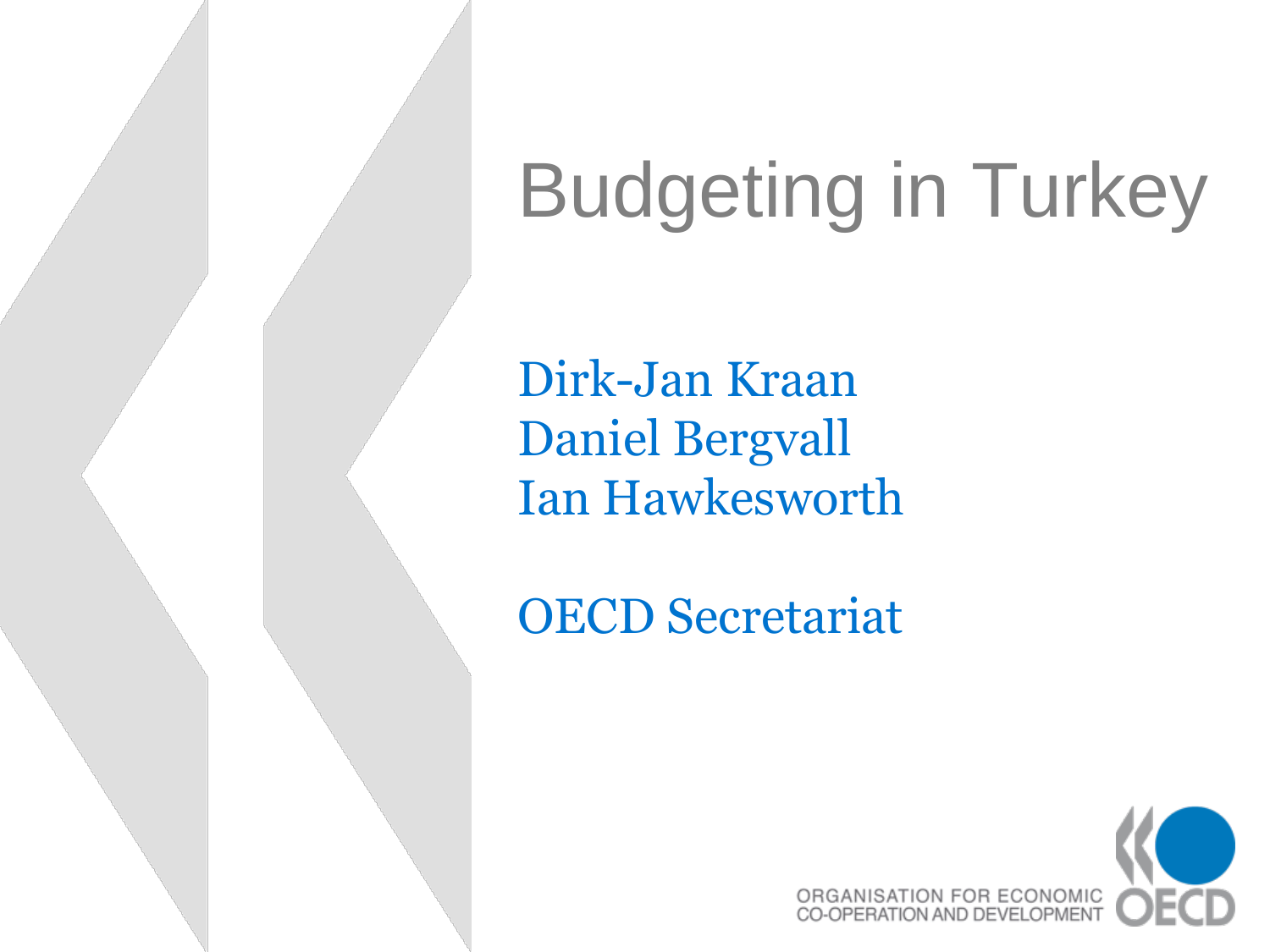# Budgeting in Turkey

Dirk-Jan Kraan Daniel Bergvall Ian Hawkesworth

OECD Secretariat

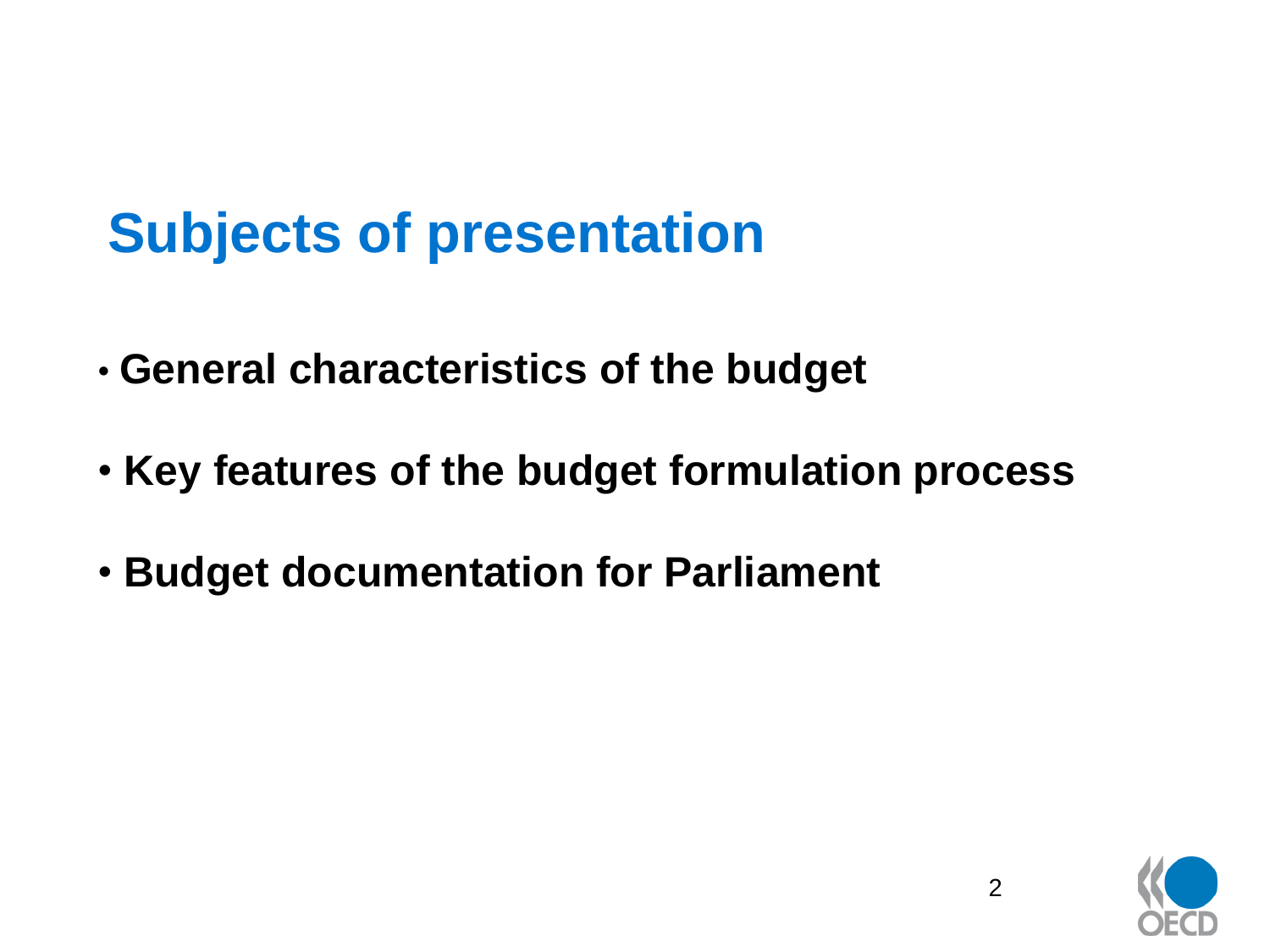# **Subjects of presentation**

- **General characteristics of the budget**
- **Key features of the budget formulation process**
- **Budget documentation for Parliament**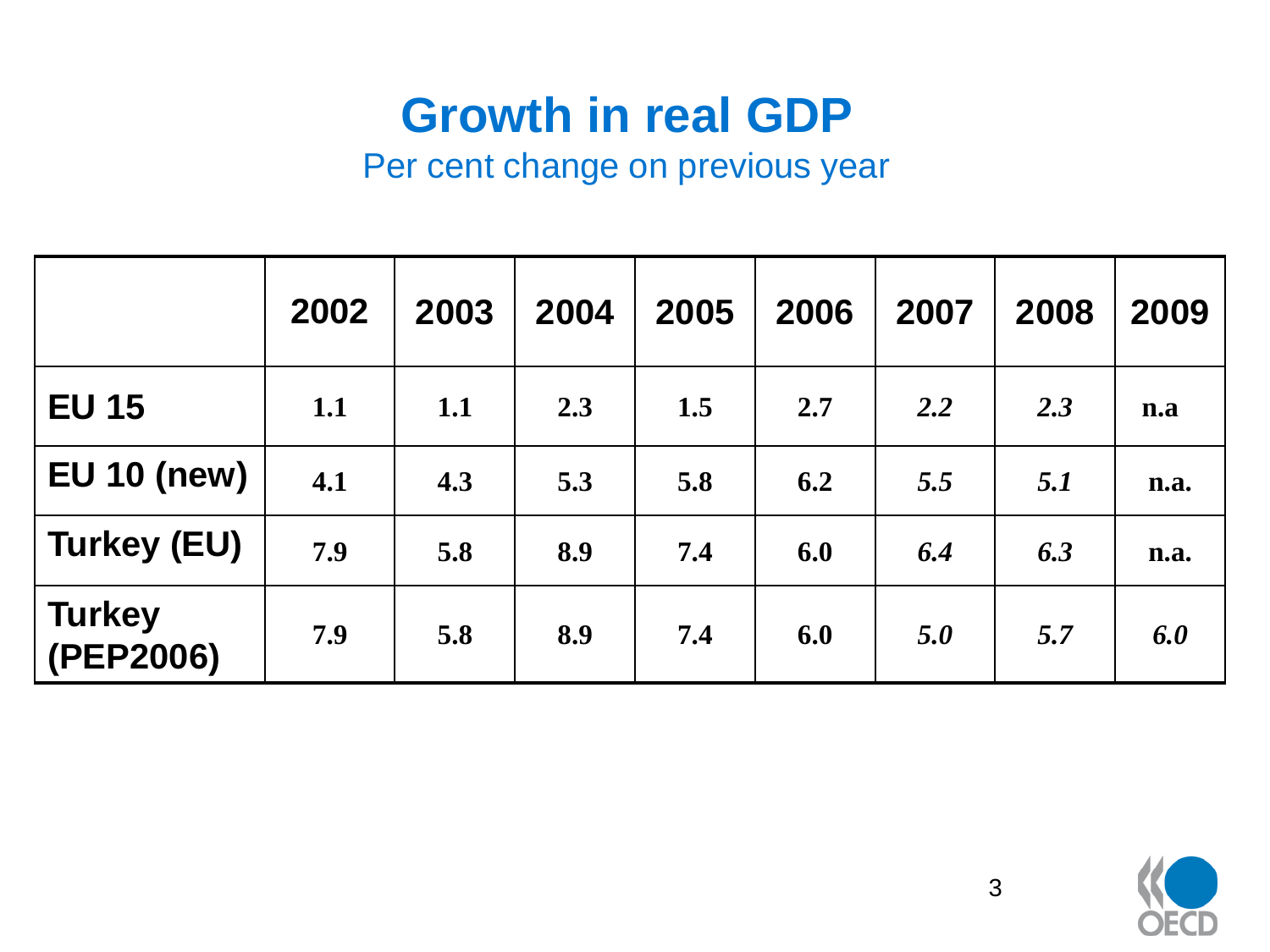#### **Growth in real GDP**

#### Per cent change on previous year

|                            | 2002 | 2003 | 2004 | 2005 | 2006 | 2007 | 2008 | 2009 |
|----------------------------|------|------|------|------|------|------|------|------|
| <b>EU 15</b>               | 1.1  | 1.1  | 2.3  | 1.5  | 2.7  | 2.2  | 2.3  | n.a  |
| <b>EU 10 (new)</b>         | 4.1  | 4.3  | 5.3  | 5.8  | 6.2  | 5.5  | 5.1  | n.a. |
| <b>Turkey (EU)</b>         | 7.9  | 5.8  | 8.9  | 7.4  | 6.0  | 6.4  | 6.3  | n.a. |
| <b>Turkey</b><br>(PEP2006) | 7.9  | 5.8  | 8.9  | 7.4  | 6.0  | 5.0  | 5.7  | 6.0  |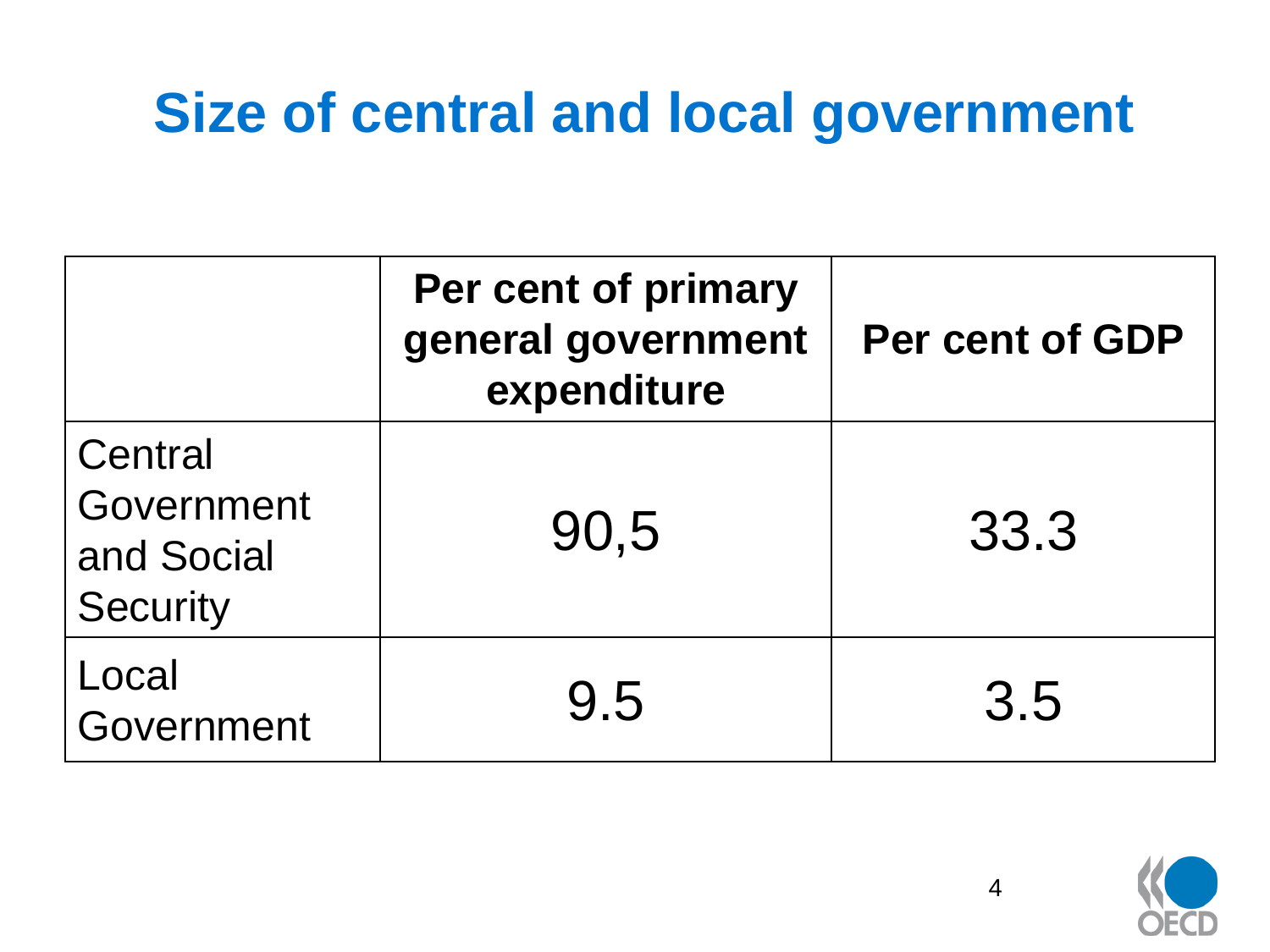# **Size of central and local government**

|                                                        | Per cent of primary<br>general government<br>expenditure | Per cent of GDP |  |  |
|--------------------------------------------------------|----------------------------------------------------------|-----------------|--|--|
| Central<br>Government<br>and Social<br><b>Security</b> | 90,5                                                     | 33.3            |  |  |
| Local<br>Government                                    | 9.5                                                      | 3.5             |  |  |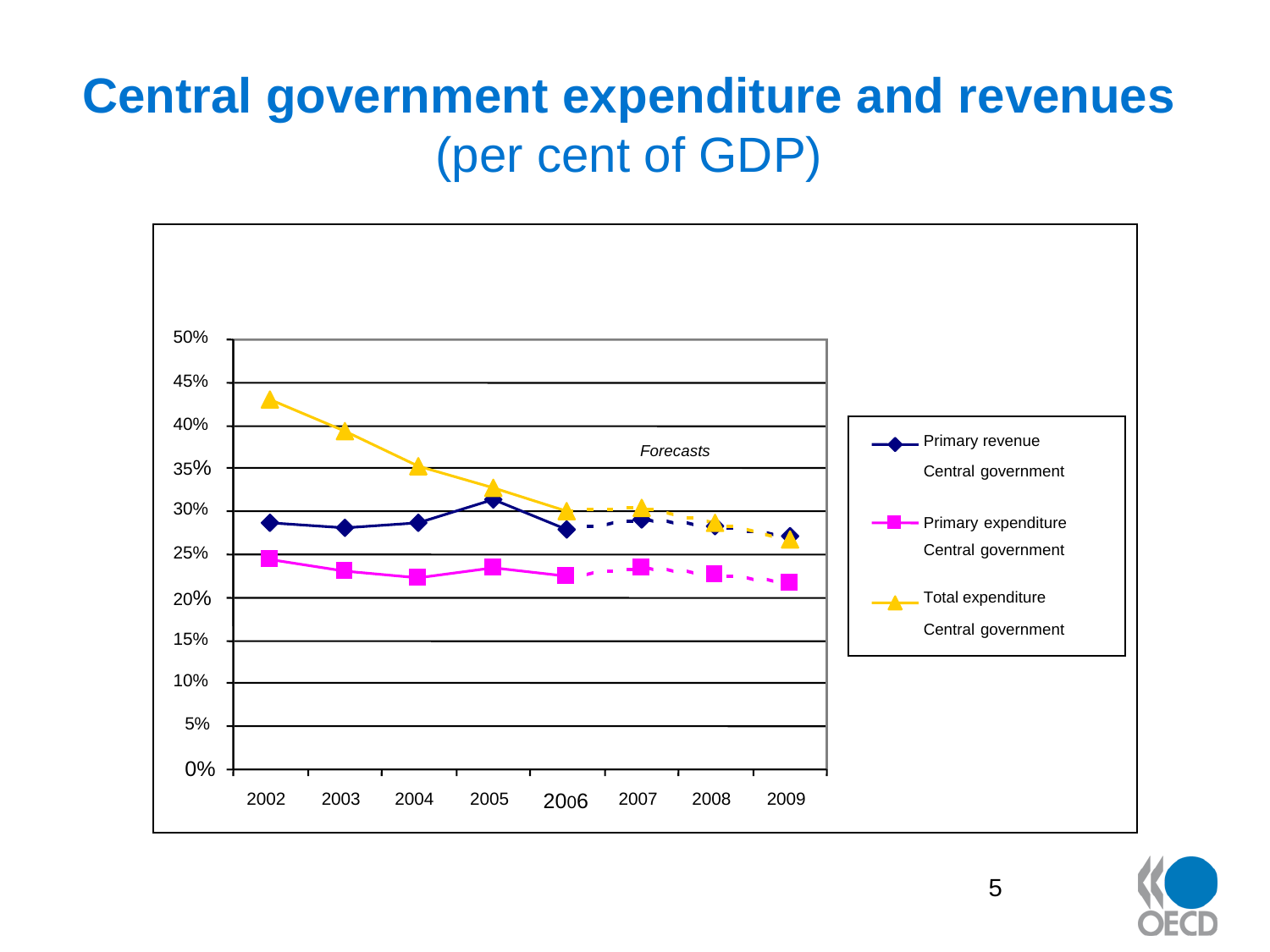#### **Central government expenditure and revenues**  (per cent of GDP)



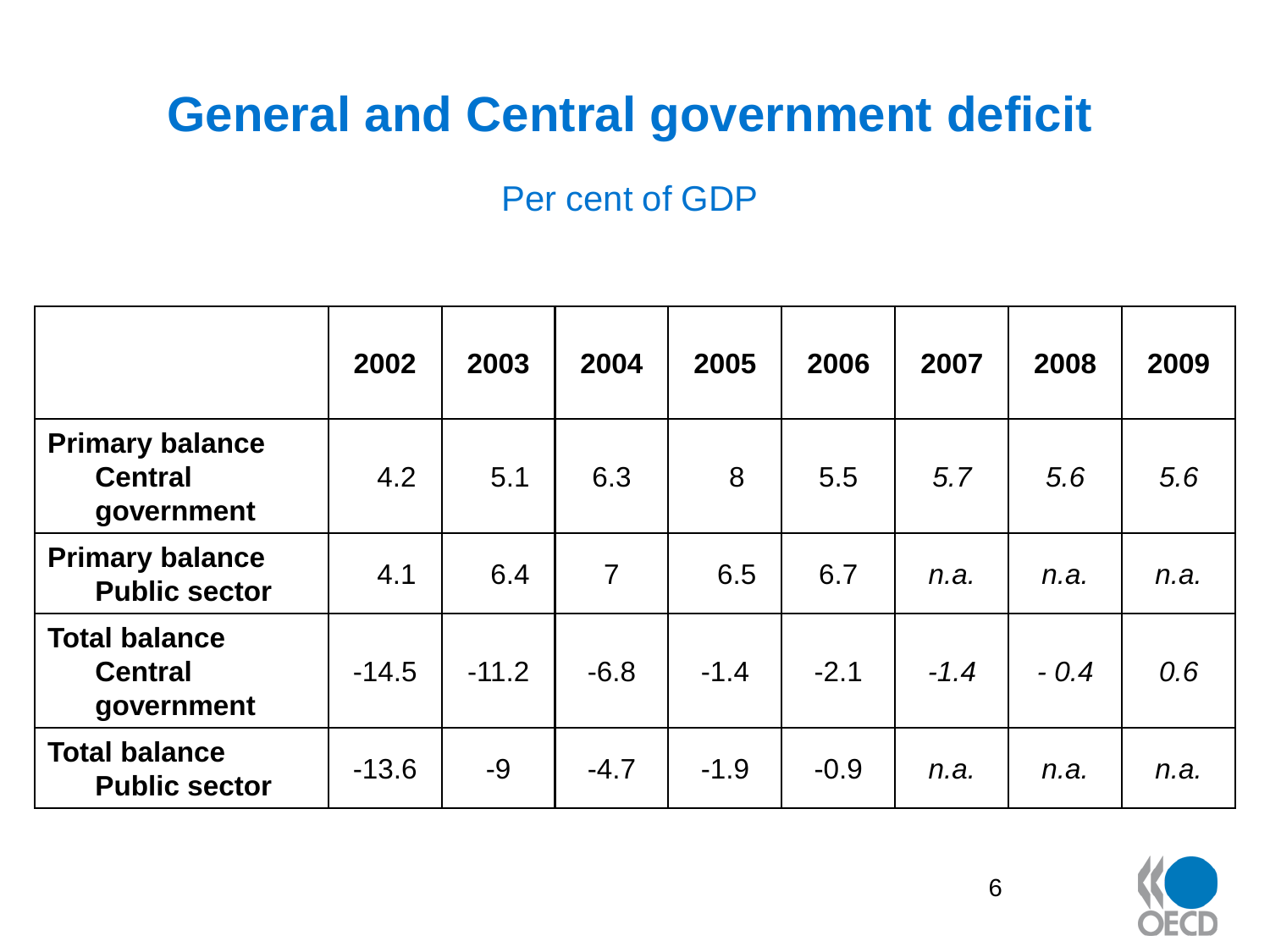#### **General and Central government deficit**

Per cent of GDP

|                                                        | 2002    | 2003    | 2004           | 2005   | 2006   | 2007   | 2008   | 2009 |
|--------------------------------------------------------|---------|---------|----------------|--------|--------|--------|--------|------|
| <b>Primary balance</b><br><b>Central</b><br>government | 4.2     | 5.1     | 6.3            | 8      | 5.5    | 5.7    | 5.6    | 5.6  |
| <b>Primary balance</b><br><b>Public sector</b>         | 4.1     | 6.4     | $\overline{7}$ | 6.5    | 6.7    | n.a.   | n.a.   | n.a. |
| <b>Total balance</b><br><b>Central</b><br>government   | $-14.5$ | $-11.2$ | $-6.8$         | $-1.4$ | $-2.1$ | $-1.4$ | $-0.4$ | 0.6  |
| <b>Total balance</b><br><b>Public sector</b>           | $-13.6$ | $-9$    | $-4.7$         | $-1.9$ | $-0.9$ | n.a.   | n.a.   | n.a. |

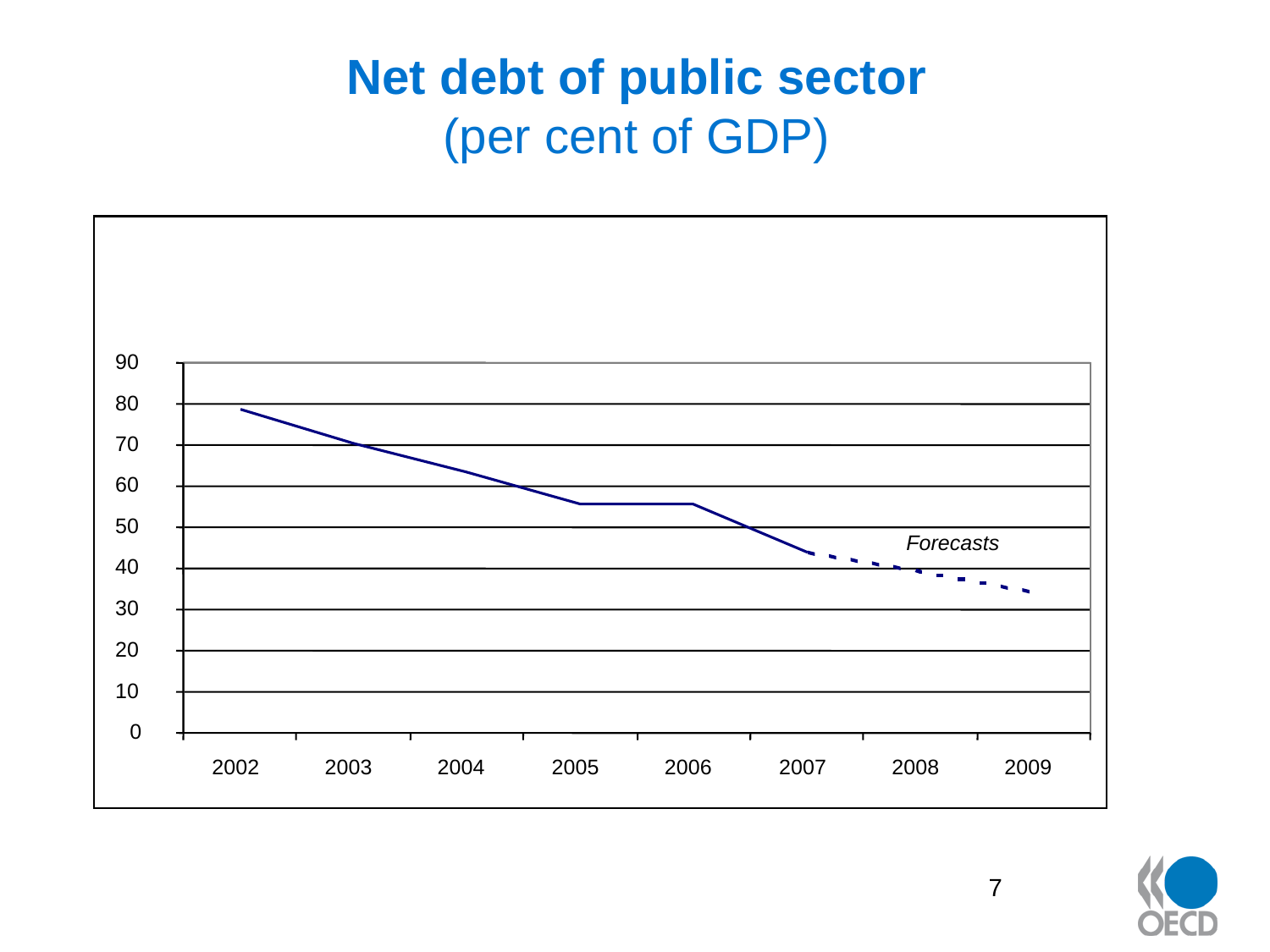#### **Net debt of public sector** (per cent of GDP)



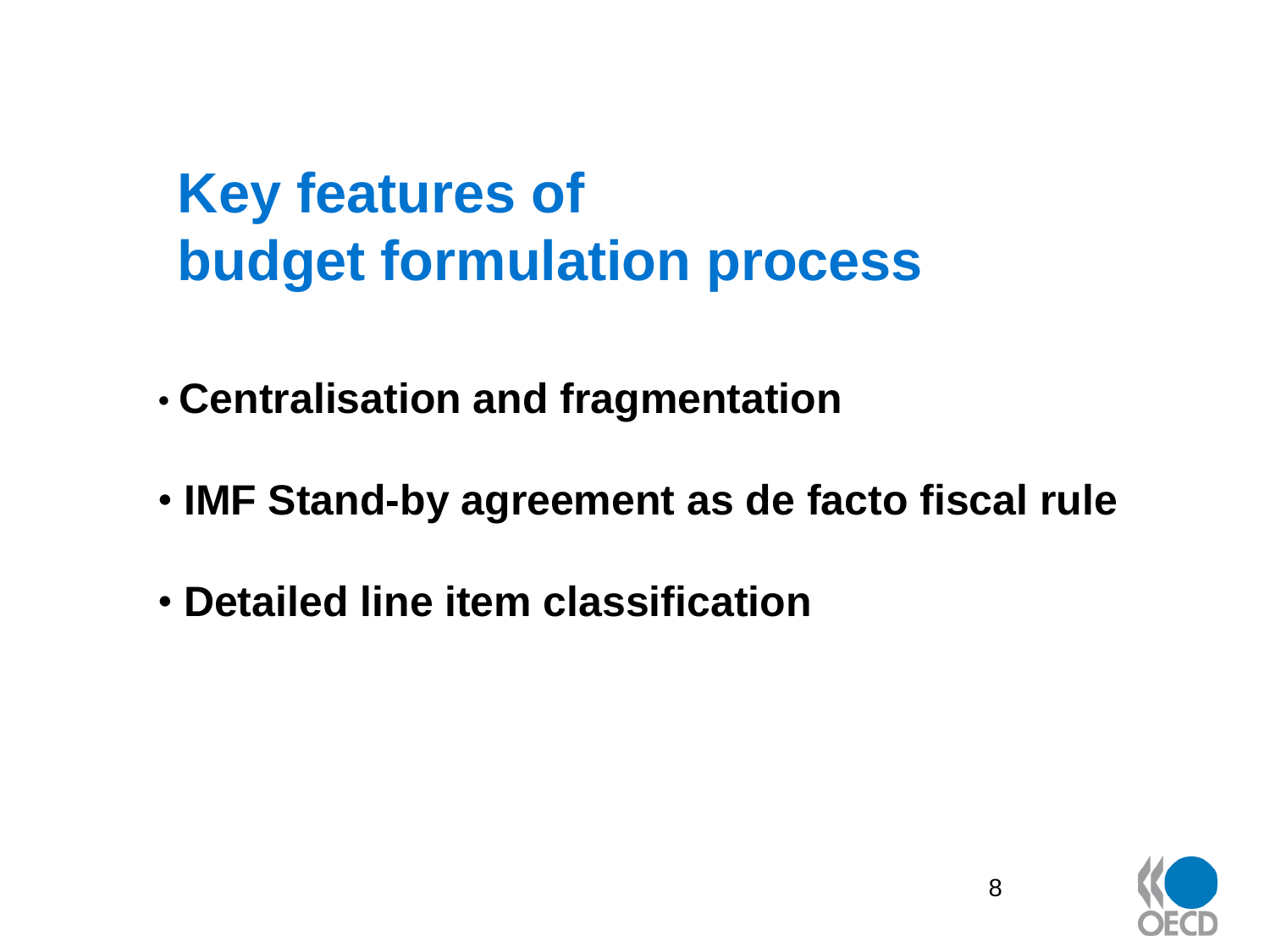# **Key features of budget formulation process**

• **Centralisation and fragmentation**

- **IMF Stand-by agreement as de facto fiscal rule**
- **Detailed line item classification**

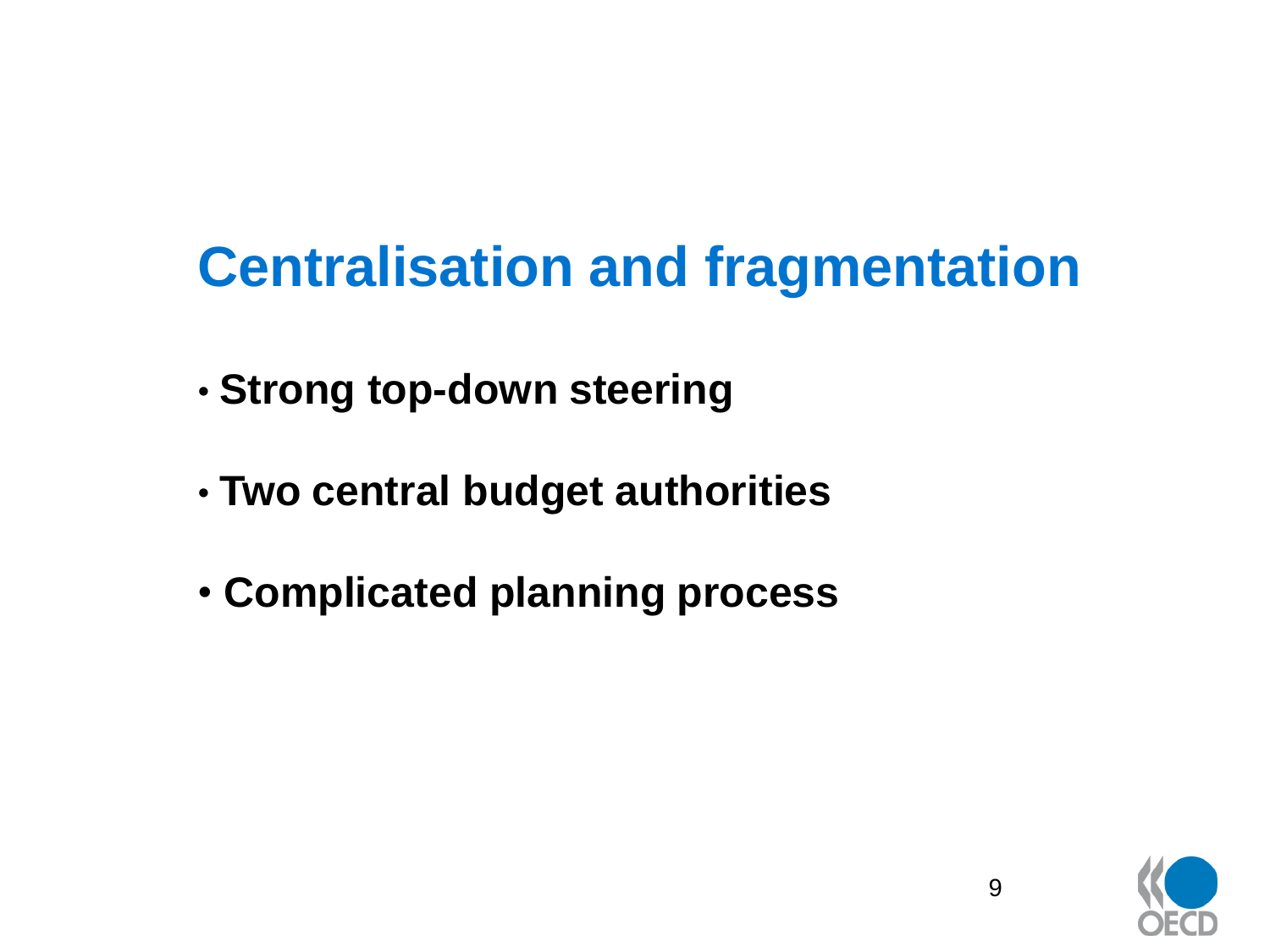# **Centralisation and fragmentation**

- **Strong top-down steering**
- **Two central budget authorities**
- **Complicated planning process**

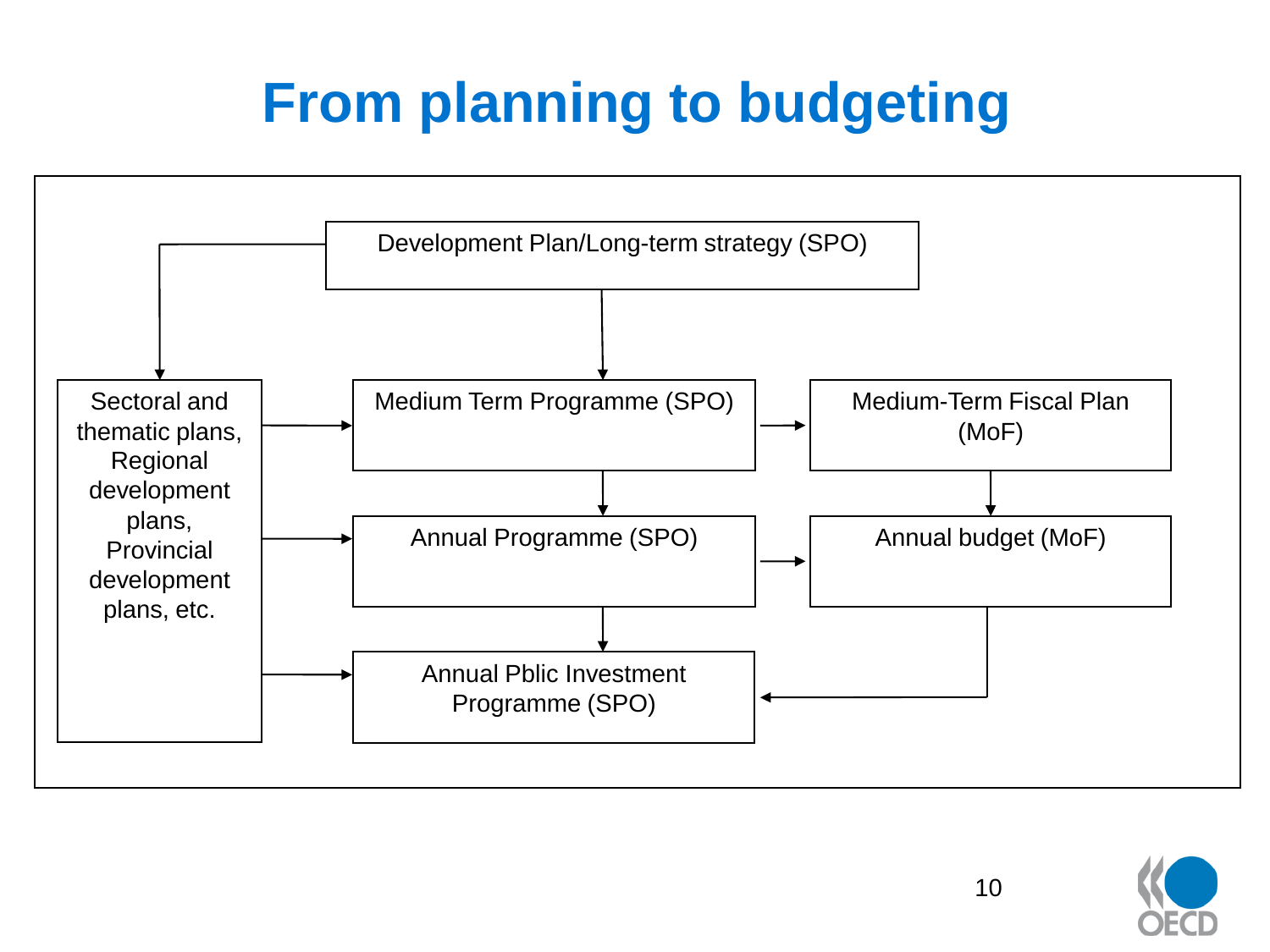# **From planning to budgeting**



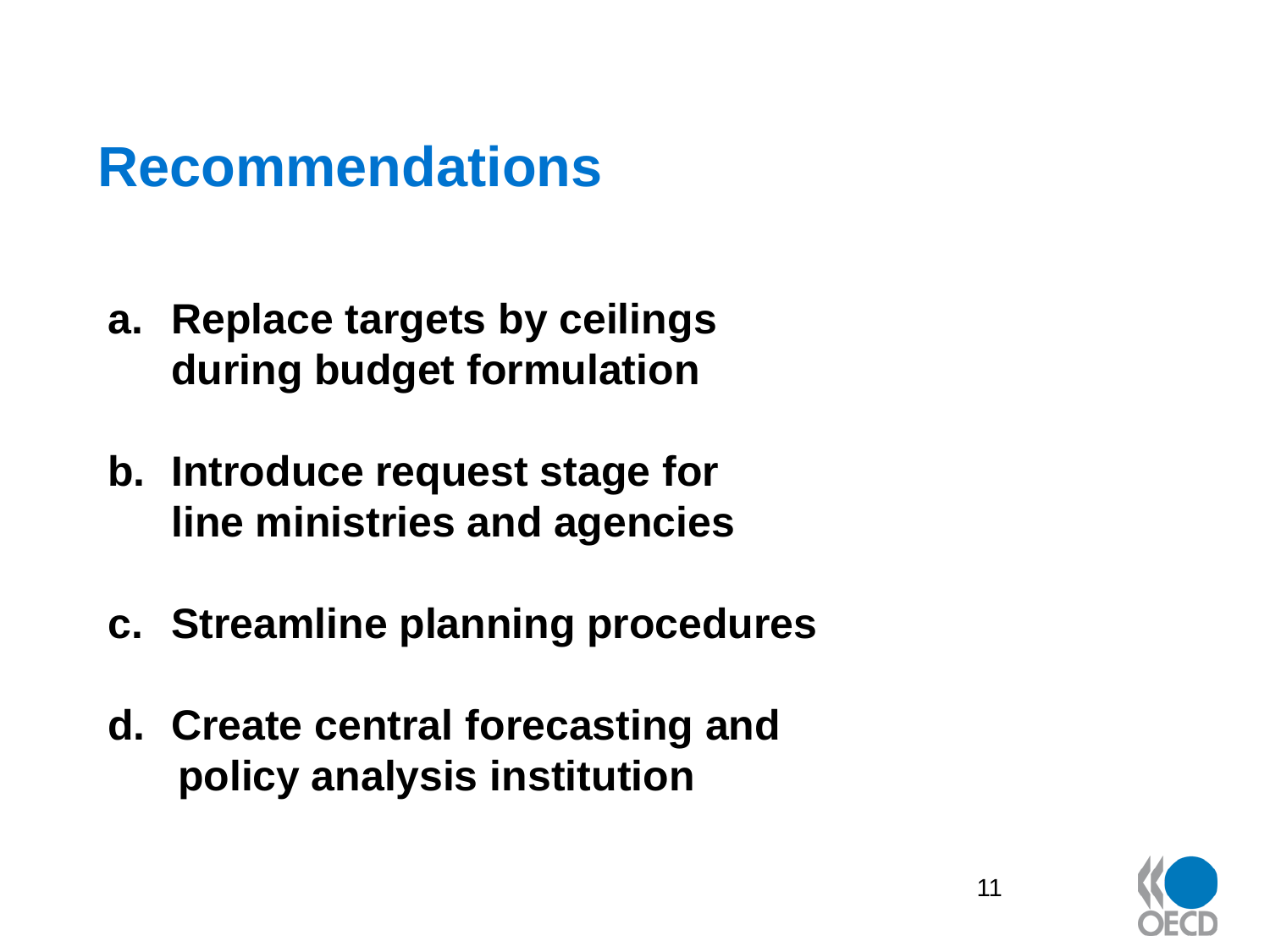- **a. Replace targets by ceilings during budget formulation**
- **b. Introduce request stage for line ministries and agencies**
- **c. Streamline planning procedures**
- **d. Create central forecasting and policy analysis institution**

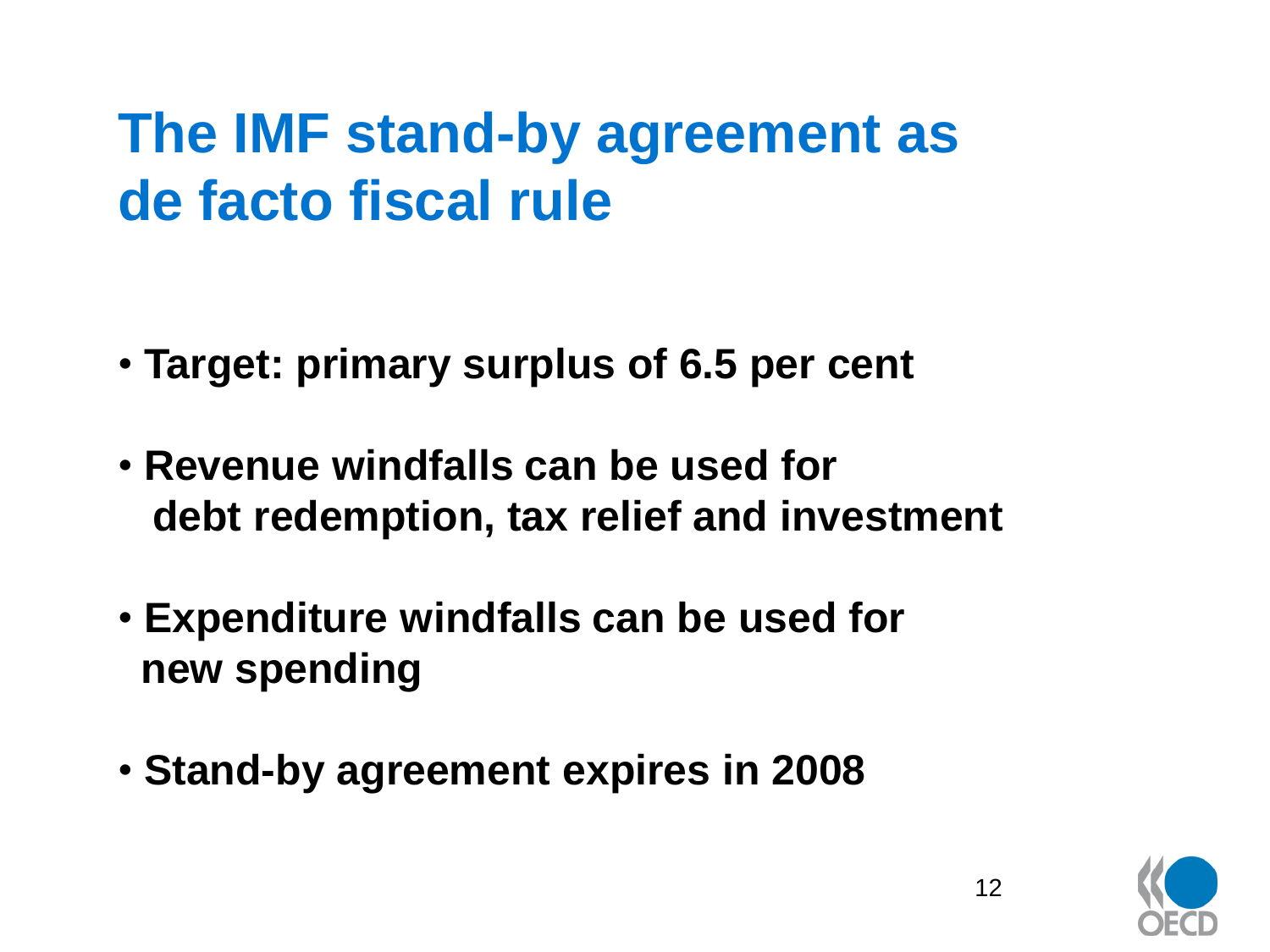# **The IMF stand-by agreement as de facto fiscal rule**

- **Target: primary surplus of 6.5 per cent**
- **Revenue windfalls can be used for debt redemption, tax relief and investment**
- **Expenditure windfalls can be used for new spending**
- **Stand-by agreement expires in 2008**

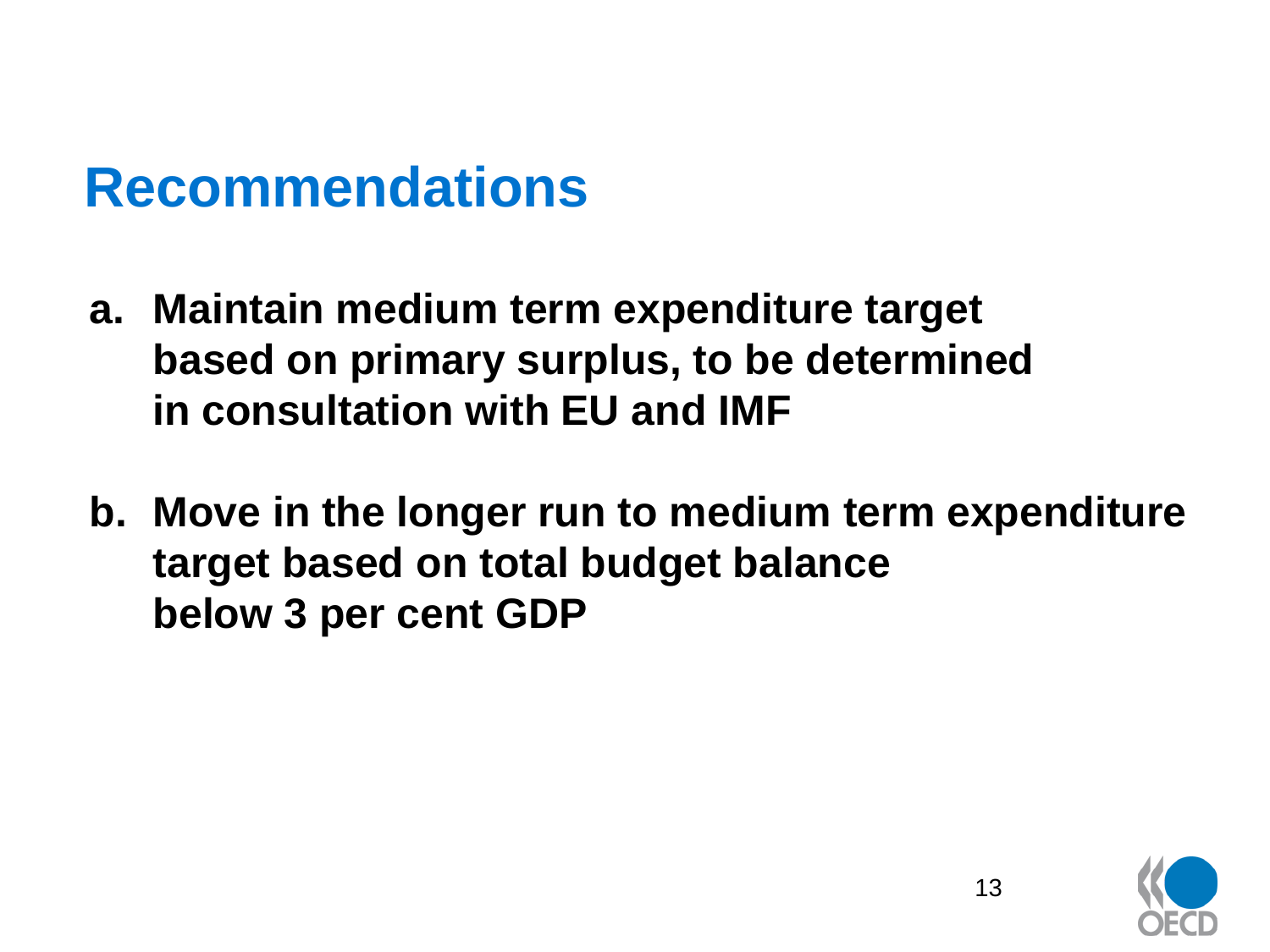- **a. Maintain medium term expenditure target based on primary surplus, to be determined in consultation with EU and IMF**
- **b. Move in the longer run to medium term expenditure target based on total budget balance below 3 per cent GDP**

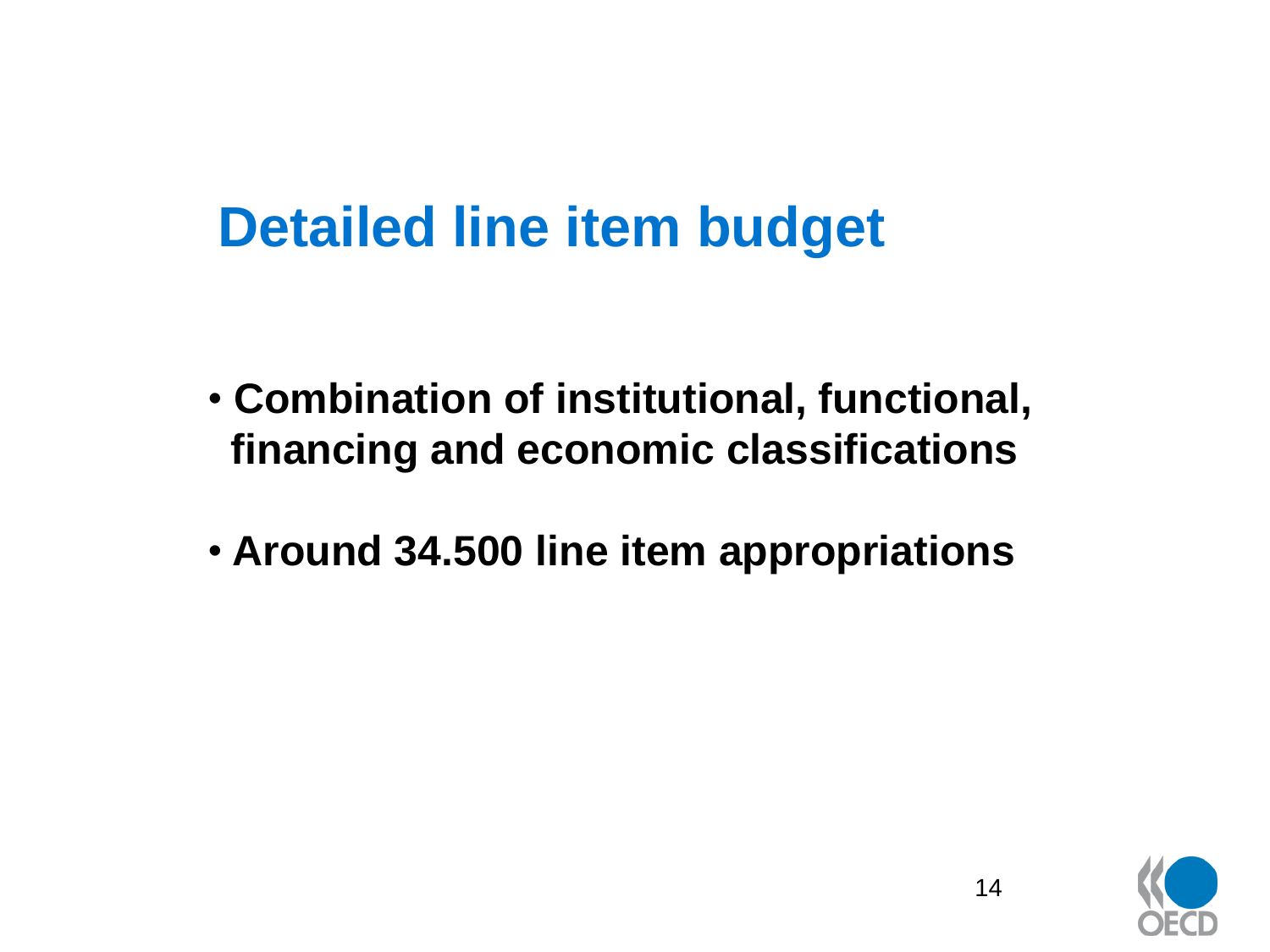## **Detailed line item budget**

- **Combination of institutional, functional, financing and economic classifications**
- **Around 34.500 line item appropriations**

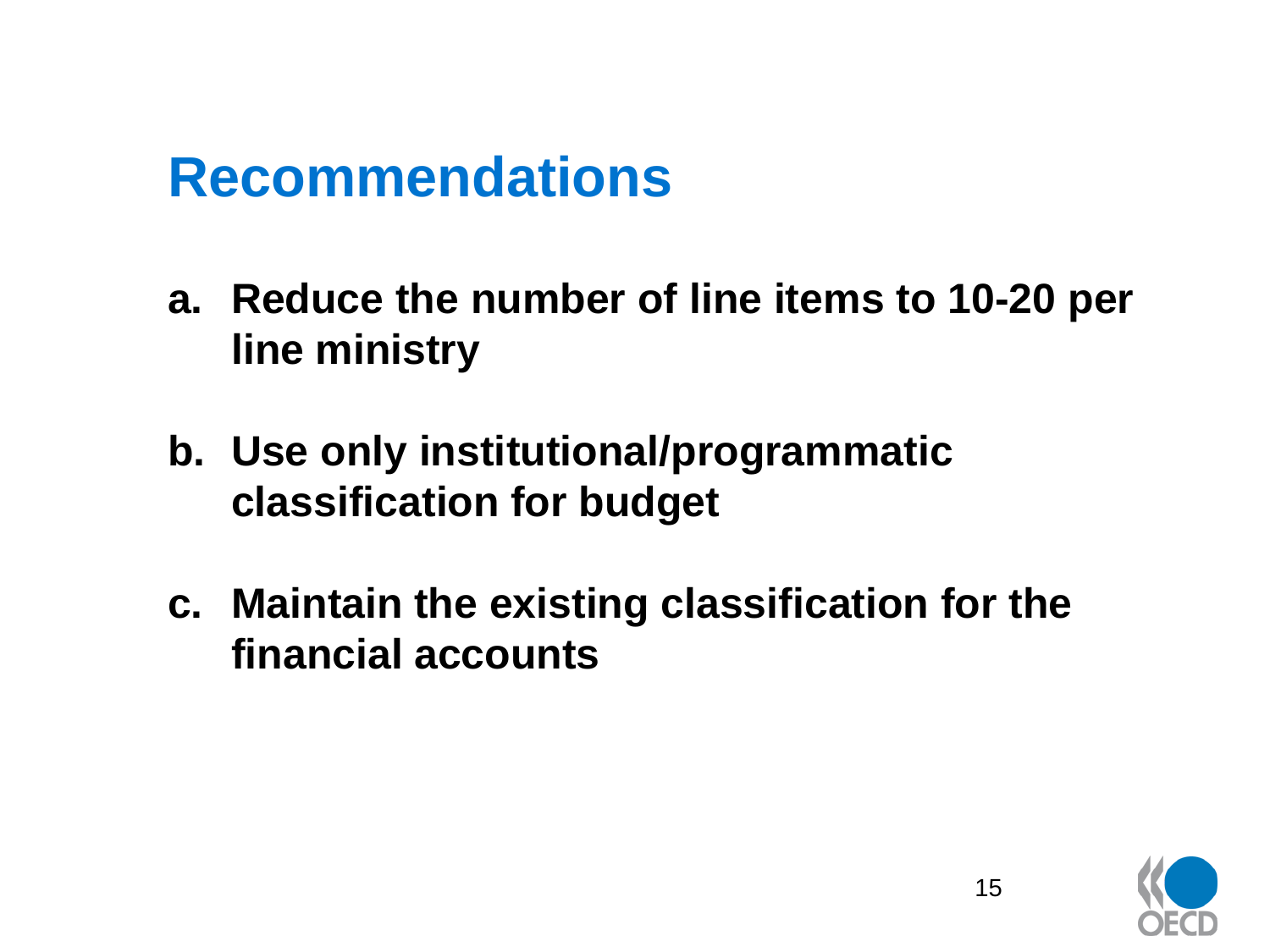- **a. Reduce the number of line items to 10-20 per line ministry**
- **b. Use only institutional/programmatic classification for budget**
- **c. Maintain the existing classification for the financial accounts**

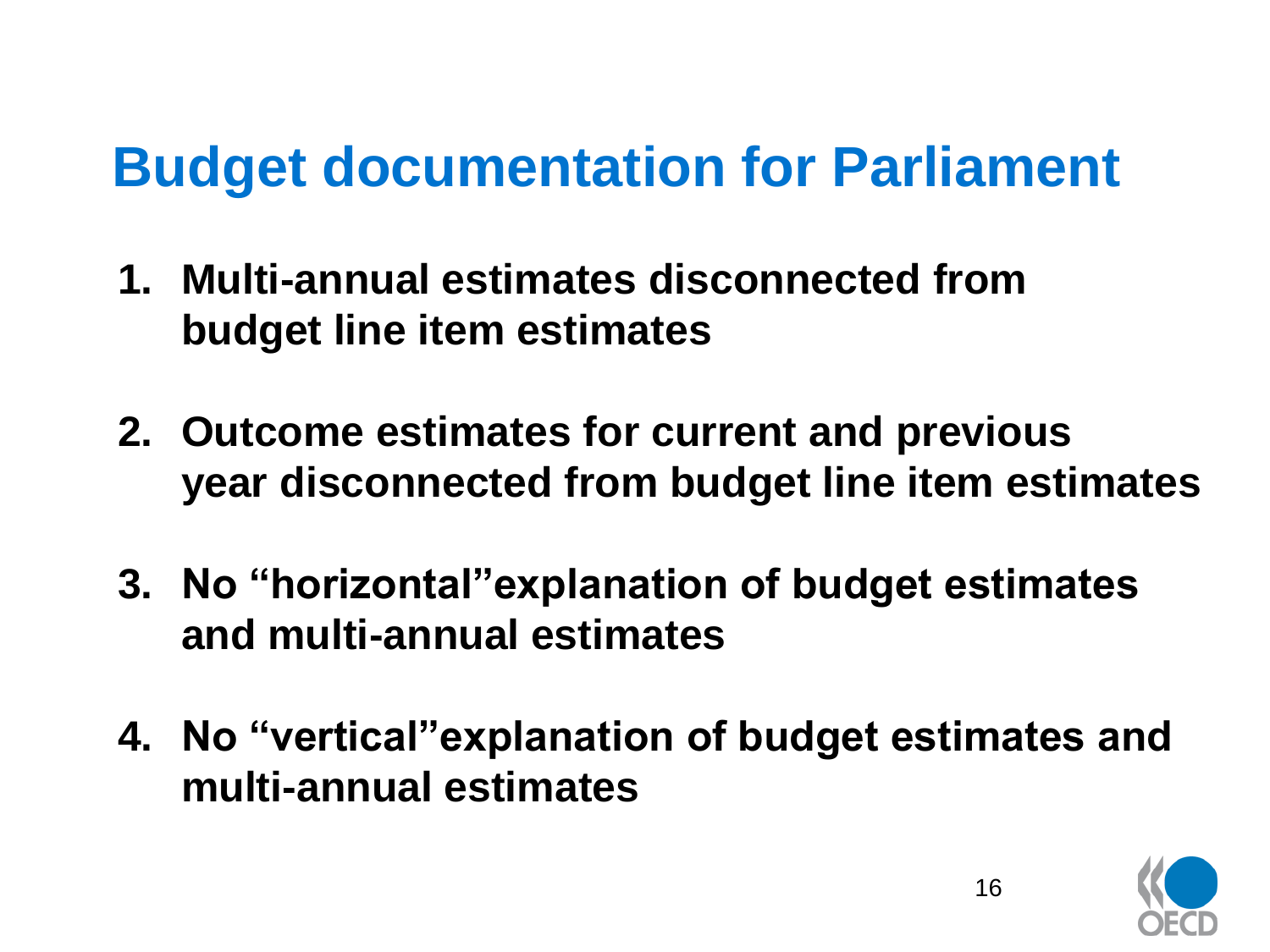# **Budget documentation for Parliament**

- **1. Multi-annual estimates disconnected from budget line item estimates**
- **2. Outcome estimates for current and previous year disconnected from budget line item estimates**
- **3. No "horizontal"explanation of budget estimates and multi-annual estimates**
- **4. No "vertical"explanation of budget estimates and multi-annual estimates**